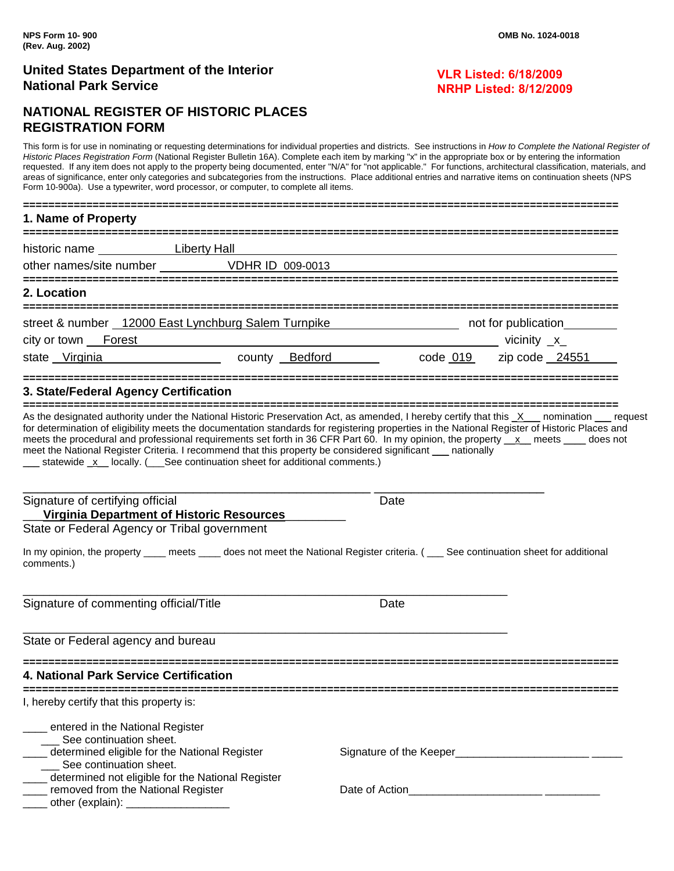### **VLR Listed: 6/18/2009 NRHP Listed: 8/12/2009**

# **NATIONAL REGISTER OF HISTORIC PLACES REGISTRATION FORM**

This form is for use in nominating or requesting determinations for individual properties and districts. See instructions in *How to Complete the National Register of*  Historic Places Registration Form (National Register Bulletin 16A). Complete each item by marking "x" in the appropriate box or by entering the information requested. If any item does not apply to the property being documented, enter "N/A" for "not applicable." For functions, architectural classification, materials, and areas of significance, enter only categories and subcategories from the instructions. Place additional entries and narrative items on continuation sheets (NPS Form 10-900a). Use a typewriter, word processor, or computer, to complete all items.

| Fulli Tu-guud). USE a typewillei, wulu processui, ur cumputer, tu cumpiete all item                                                                                                                                                                                                                                                                                                                                                                                                                                                                                                                                                |  |                                                               |      |                                   |  |
|------------------------------------------------------------------------------------------------------------------------------------------------------------------------------------------------------------------------------------------------------------------------------------------------------------------------------------------------------------------------------------------------------------------------------------------------------------------------------------------------------------------------------------------------------------------------------------------------------------------------------------|--|---------------------------------------------------------------|------|-----------------------------------|--|
| 1. Name of Property                                                                                                                                                                                                                                                                                                                                                                                                                                                                                                                                                                                                                |  |                                                               |      |                                   |  |
| historic name Liberty Hall                                                                                                                                                                                                                                                                                                                                                                                                                                                                                                                                                                                                         |  |                                                               |      |                                   |  |
| other names/site number VDHR ID 009-0013                                                                                                                                                                                                                                                                                                                                                                                                                                                                                                                                                                                           |  |                                                               |      |                                   |  |
| 2. Location                                                                                                                                                                                                                                                                                                                                                                                                                                                                                                                                                                                                                        |  |                                                               |      |                                   |  |
| street & number 12000 East Lynchburg Salem Turnpike https://www.com/2010/induction__________________                                                                                                                                                                                                                                                                                                                                                                                                                                                                                                                               |  |                                                               |      |                                   |  |
| city or town Forest                                                                                                                                                                                                                                                                                                                                                                                                                                                                                                                                                                                                                |  | <u> 1980 - Johann Barn, mars an t-Amerikaansk politiker (</u> |      | _____________________vicinity _x_ |  |
| state Virginia 24551 county Bedford code 019 zip code 24551                                                                                                                                                                                                                                                                                                                                                                                                                                                                                                                                                                        |  |                                                               |      |                                   |  |
| 3. State/Federal Agency Certification                                                                                                                                                                                                                                                                                                                                                                                                                                                                                                                                                                                              |  |                                                               |      |                                   |  |
| As the designated authority under the National Historic Preservation Act, as amended, I hereby certify that this X__ nomination __ request<br>for determination of eligibility meets the documentation standards for registering properties in the National Register of Historic Places and<br>meets the procedural and professional requirements set forth in 36 CFR Part 60. In my opinion, the property x meets sum does not<br>meet the National Register Criteria. I recommend that this property be considered significant ___ nationally<br>__ statewide _x _ locally. (___See continuation sheet for additional comments.) |  |                                                               |      |                                   |  |
| Signature of certifying official<br>Virginia Department of Historic Resources                                                                                                                                                                                                                                                                                                                                                                                                                                                                                                                                                      |  |                                                               | Date |                                   |  |
| State or Federal Agency or Tribal government                                                                                                                                                                                                                                                                                                                                                                                                                                                                                                                                                                                       |  |                                                               |      |                                   |  |
| In my opinion, the property ____ meets ____ does not meet the National Register criteria. ( ___ See continuation sheet for additional<br>comments.)                                                                                                                                                                                                                                                                                                                                                                                                                                                                                |  |                                                               |      |                                   |  |
| Signature of commenting official/Title                                                                                                                                                                                                                                                                                                                                                                                                                                                                                                                                                                                             |  | Date                                                          |      |                                   |  |
| State or Federal agency and bureau                                                                                                                                                                                                                                                                                                                                                                                                                                                                                                                                                                                                 |  |                                                               |      |                                   |  |
| 4. National Park Service Certification                                                                                                                                                                                                                                                                                                                                                                                                                                                                                                                                                                                             |  |                                                               |      |                                   |  |
| ---------------------------<br>I, hereby certify that this property is:                                                                                                                                                                                                                                                                                                                                                                                                                                                                                                                                                            |  |                                                               |      |                                   |  |
| ____ entered in the National Register                                                                                                                                                                                                                                                                                                                                                                                                                                                                                                                                                                                              |  |                                                               |      |                                   |  |
| ___ See continuation sheet.                                                                                                                                                                                                                                                                                                                                                                                                                                                                                                                                                                                                        |  |                                                               |      |                                   |  |
| determined eligible for the National Register<br>__ See continuation sheet.                                                                                                                                                                                                                                                                                                                                                                                                                                                                                                                                                        |  |                                                               |      |                                   |  |
| ___ determined not eligible for the National Register                                                                                                                                                                                                                                                                                                                                                                                                                                                                                                                                                                              |  |                                                               |      |                                   |  |
| ____ removed from the National Register<br>other (explain): $\frac{1}{2}$ other (explain): $\frac{1}{2}$ other (explain):                                                                                                                                                                                                                                                                                                                                                                                                                                                                                                          |  |                                                               |      |                                   |  |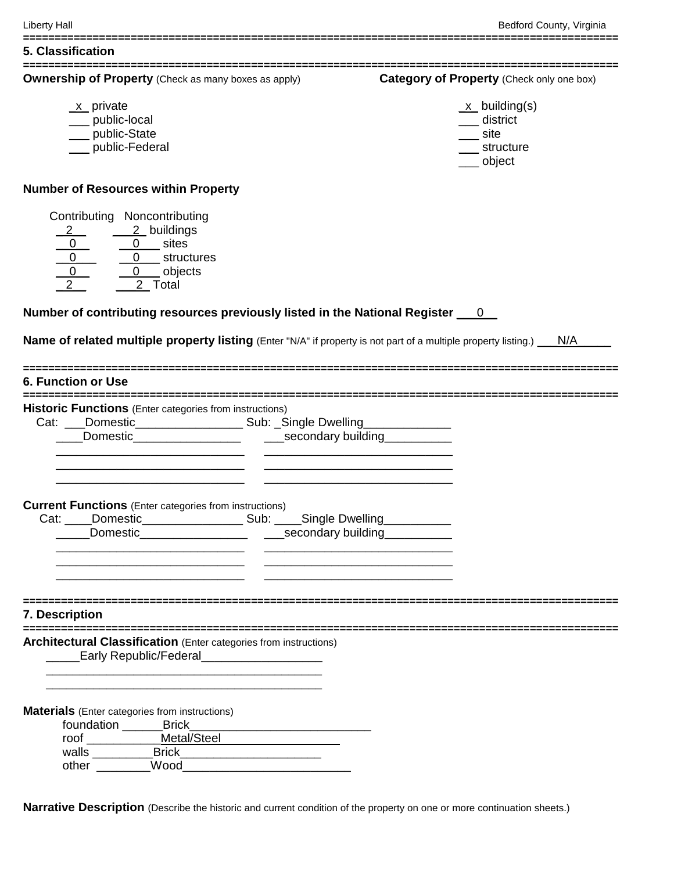| <b>Ownership of Property</b> (Check as many boxes as apply)<br>Category of Property (Check only one box)<br>$\underline{x}$ building(s)<br>$x$ private<br>__ public-local<br>___ district<br>__ public-State<br>$\equiv$ site<br>__ public-Federal<br>____ structure<br>___ object<br>Contributing Noncontributing<br>$\begin{array}{c c}\n2 & 2 & \text{building} \\ \hline\n0 & 0 & \text{sites} \\ \hline\n0 & 0 & \text{structures} \\ \hline\n2 & 2 & \text{Total}\n\end{array}$<br>$\overline{2}$ Total<br>Cat: ___Domestic_________________________ Sub: _Single Dwelling________________<br><u> 1980 - Johann John Stone, market fan it ferstjer fan it ferstjer fan it ferstjer fan it ferstjer fan it fers</u> |  |
|--------------------------------------------------------------------------------------------------------------------------------------------------------------------------------------------------------------------------------------------------------------------------------------------------------------------------------------------------------------------------------------------------------------------------------------------------------------------------------------------------------------------------------------------------------------------------------------------------------------------------------------------------------------------------------------------------------------------------|--|
|                                                                                                                                                                                                                                                                                                                                                                                                                                                                                                                                                                                                                                                                                                                          |  |
| <b>Number of Resources within Property</b><br>Number of contributing resources previously listed in the National Register ___ 0<br><b>Name of related multiple property listing</b> (Enter "N/A" if property is not part of a multiple property listing.) N/A<br><b>6. Function or Use</b><br><b>Historic Functions</b> (Enter categories from instructions)<br><b>Current Functions</b> (Enter categories from instructions)                                                                                                                                                                                                                                                                                            |  |
|                                                                                                                                                                                                                                                                                                                                                                                                                                                                                                                                                                                                                                                                                                                          |  |
|                                                                                                                                                                                                                                                                                                                                                                                                                                                                                                                                                                                                                                                                                                                          |  |
|                                                                                                                                                                                                                                                                                                                                                                                                                                                                                                                                                                                                                                                                                                                          |  |
|                                                                                                                                                                                                                                                                                                                                                                                                                                                                                                                                                                                                                                                                                                                          |  |
|                                                                                                                                                                                                                                                                                                                                                                                                                                                                                                                                                                                                                                                                                                                          |  |
|                                                                                                                                                                                                                                                                                                                                                                                                                                                                                                                                                                                                                                                                                                                          |  |
|                                                                                                                                                                                                                                                                                                                                                                                                                                                                                                                                                                                                                                                                                                                          |  |
|                                                                                                                                                                                                                                                                                                                                                                                                                                                                                                                                                                                                                                                                                                                          |  |
|                                                                                                                                                                                                                                                                                                                                                                                                                                                                                                                                                                                                                                                                                                                          |  |
|                                                                                                                                                                                                                                                                                                                                                                                                                                                                                                                                                                                                                                                                                                                          |  |
|                                                                                                                                                                                                                                                                                                                                                                                                                                                                                                                                                                                                                                                                                                                          |  |
|                                                                                                                                                                                                                                                                                                                                                                                                                                                                                                                                                                                                                                                                                                                          |  |
|                                                                                                                                                                                                                                                                                                                                                                                                                                                                                                                                                                                                                                                                                                                          |  |
|                                                                                                                                                                                                                                                                                                                                                                                                                                                                                                                                                                                                                                                                                                                          |  |
|                                                                                                                                                                                                                                                                                                                                                                                                                                                                                                                                                                                                                                                                                                                          |  |
|                                                                                                                                                                                                                                                                                                                                                                                                                                                                                                                                                                                                                                                                                                                          |  |
|                                                                                                                                                                                                                                                                                                                                                                                                                                                                                                                                                                                                                                                                                                                          |  |
|                                                                                                                                                                                                                                                                                                                                                                                                                                                                                                                                                                                                                                                                                                                          |  |
|                                                                                                                                                                                                                                                                                                                                                                                                                                                                                                                                                                                                                                                                                                                          |  |
|                                                                                                                                                                                                                                                                                                                                                                                                                                                                                                                                                                                                                                                                                                                          |  |
|                                                                                                                                                                                                                                                                                                                                                                                                                                                                                                                                                                                                                                                                                                                          |  |
|                                                                                                                                                                                                                                                                                                                                                                                                                                                                                                                                                                                                                                                                                                                          |  |
|                                                                                                                                                                                                                                                                                                                                                                                                                                                                                                                                                                                                                                                                                                                          |  |
|                                                                                                                                                                                                                                                                                                                                                                                                                                                                                                                                                                                                                                                                                                                          |  |
| Cat: ____Domestic_______________________ Sub: _____Single Dwelling_____________                                                                                                                                                                                                                                                                                                                                                                                                                                                                                                                                                                                                                                          |  |
| Domestic<br>secondary building                                                                                                                                                                                                                                                                                                                                                                                                                                                                                                                                                                                                                                                                                           |  |
|                                                                                                                                                                                                                                                                                                                                                                                                                                                                                                                                                                                                                                                                                                                          |  |
|                                                                                                                                                                                                                                                                                                                                                                                                                                                                                                                                                                                                                                                                                                                          |  |
|                                                                                                                                                                                                                                                                                                                                                                                                                                                                                                                                                                                                                                                                                                                          |  |
|                                                                                                                                                                                                                                                                                                                                                                                                                                                                                                                                                                                                                                                                                                                          |  |
|                                                                                                                                                                                                                                                                                                                                                                                                                                                                                                                                                                                                                                                                                                                          |  |
| 7. Description                                                                                                                                                                                                                                                                                                                                                                                                                                                                                                                                                                                                                                                                                                           |  |
|                                                                                                                                                                                                                                                                                                                                                                                                                                                                                                                                                                                                                                                                                                                          |  |
| <b>Architectural Classification</b> (Enter categories from instructions)                                                                                                                                                                                                                                                                                                                                                                                                                                                                                                                                                                                                                                                 |  |
| Early Republic/Federal_____________________                                                                                                                                                                                                                                                                                                                                                                                                                                                                                                                                                                                                                                                                              |  |
|                                                                                                                                                                                                                                                                                                                                                                                                                                                                                                                                                                                                                                                                                                                          |  |
|                                                                                                                                                                                                                                                                                                                                                                                                                                                                                                                                                                                                                                                                                                                          |  |
| <b>Materials</b> (Enter categories from instructions)                                                                                                                                                                                                                                                                                                                                                                                                                                                                                                                                                                                                                                                                    |  |
| foundation ________Brick_                                                                                                                                                                                                                                                                                                                                                                                                                                                                                                                                                                                                                                                                                                |  |
| roof ______________Metal/Steel                                                                                                                                                                                                                                                                                                                                                                                                                                                                                                                                                                                                                                                                                           |  |
| walls ____________Brick______                                                                                                                                                                                                                                                                                                                                                                                                                                                                                                                                                                                                                                                                                            |  |
|                                                                                                                                                                                                                                                                                                                                                                                                                                                                                                                                                                                                                                                                                                                          |  |

**==============================================================================================**

**Narrative Description** (Describe the historic and current condition of the property on one or more continuation sheets.)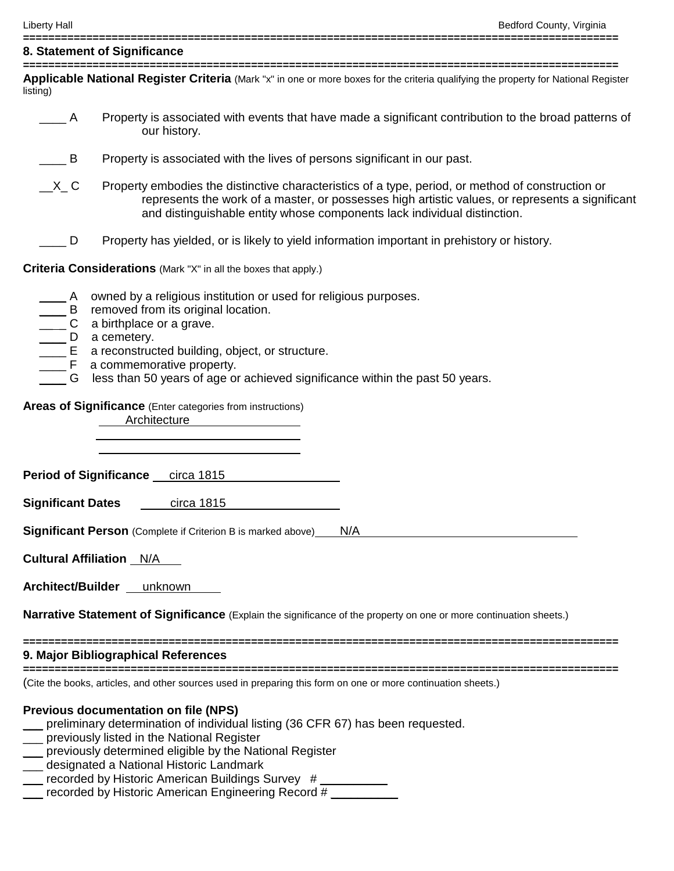| 8. Statement of Significance    |                                                                                                                                                                                                                                                                                                                                                                                              |  |  |  |  |  |
|---------------------------------|----------------------------------------------------------------------------------------------------------------------------------------------------------------------------------------------------------------------------------------------------------------------------------------------------------------------------------------------------------------------------------------------|--|--|--|--|--|
| listing)                        | Applicable National Register Criteria (Mark "x" in one or more boxes for the criteria qualifying the property for National Register                                                                                                                                                                                                                                                          |  |  |  |  |  |
| A                               | Property is associated with events that have made a significant contribution to the broad patterns of<br>our history.                                                                                                                                                                                                                                                                        |  |  |  |  |  |
| $\qquad \qquad \blacksquare$ B  | Property is associated with the lives of persons significant in our past.                                                                                                                                                                                                                                                                                                                    |  |  |  |  |  |
| $X_C$                           | Property embodies the distinctive characteristics of a type, period, or method of construction or<br>represents the work of a master, or possesses high artistic values, or represents a significant<br>and distinguishable entity whose components lack individual distinction.                                                                                                             |  |  |  |  |  |
| D                               | Property has yielded, or is likely to yield information important in prehistory or history.                                                                                                                                                                                                                                                                                                  |  |  |  |  |  |
|                                 | <b>Criteria Considerations</b> (Mark "X" in all the boxes that apply.)                                                                                                                                                                                                                                                                                                                       |  |  |  |  |  |
| <b>A</b>                        | owned by a religious institution or used for religious purposes.<br>B removed from its original location.<br>C a birthplace or a grave.<br>D a cemetery.<br>E a reconstructed building, object, or structure.<br>F a commemorative property.<br>G less than 50 years of age or achieved significance within the past 50 years.<br>Areas of Significance (Enter categories from instructions) |  |  |  |  |  |
|                                 | Architecture                                                                                                                                                                                                                                                                                                                                                                                 |  |  |  |  |  |
|                                 | Period of Significance circa 1815                                                                                                                                                                                                                                                                                                                                                            |  |  |  |  |  |
| <b>Significant Dates</b>        | circa 1815                                                                                                                                                                                                                                                                                                                                                                                   |  |  |  |  |  |
|                                 | Significant Person (Complete if Criterion B is marked above)<br>N/A                                                                                                                                                                                                                                                                                                                          |  |  |  |  |  |
| <b>Cultural Affiliation</b> N/A |                                                                                                                                                                                                                                                                                                                                                                                              |  |  |  |  |  |
| Architect/Builder unknown       |                                                                                                                                                                                                                                                                                                                                                                                              |  |  |  |  |  |
|                                 | <b>Narrative Statement of Significance</b> (Explain the significance of the property on one or more continuation sheets.)                                                                                                                                                                                                                                                                    |  |  |  |  |  |
|                                 | 9. Major Bibliographical References                                                                                                                                                                                                                                                                                                                                                          |  |  |  |  |  |
|                                 | (Cite the books, articles, and other sources used in preparing this form on one or more continuation sheets.)                                                                                                                                                                                                                                                                                |  |  |  |  |  |
|                                 | <b>Previous documentation on file (NPS)</b><br>preliminary determination of individual listing (36 CFR 67) has been requested.<br>previously listed in the National Register<br>__ previously determined eligible by the National Register<br>designated a National Historic Landmark<br>recorded by Historic American Buildings Survey #                                                    |  |  |  |  |  |

\_\_\_ recorded by Historic American Engineering Record # \_\_\_\_\_\_\_\_\_\_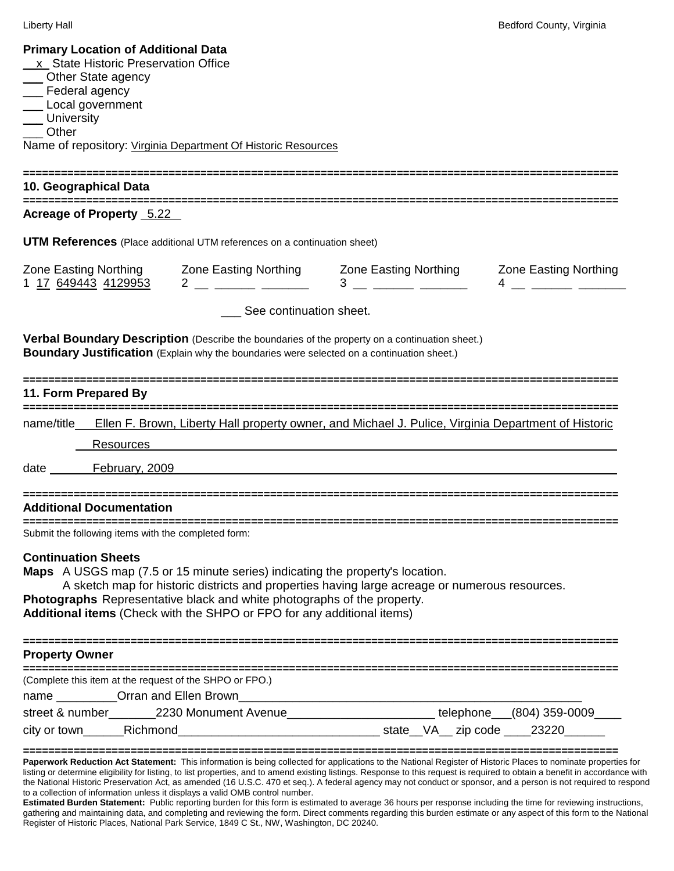| <b>Primary Location of Additional Data</b><br>x State Historic Preservation Office<br>___ Other State agency<br>__ Federal agency<br>__ Local government<br>___ University<br>Other<br>10. Geographical Data | Name of repository: Virginia Department Of Historic Resources                                                                                                                                                                                                                                                                                                                   |  |                                                                                                                                                                                                                                                                                                                                                                                                                                                                                                                     |  |  |  |
|--------------------------------------------------------------------------------------------------------------------------------------------------------------------------------------------------------------|---------------------------------------------------------------------------------------------------------------------------------------------------------------------------------------------------------------------------------------------------------------------------------------------------------------------------------------------------------------------------------|--|---------------------------------------------------------------------------------------------------------------------------------------------------------------------------------------------------------------------------------------------------------------------------------------------------------------------------------------------------------------------------------------------------------------------------------------------------------------------------------------------------------------------|--|--|--|
| Acreage of Property 5.22                                                                                                                                                                                     |                                                                                                                                                                                                                                                                                                                                                                                 |  |                                                                                                                                                                                                                                                                                                                                                                                                                                                                                                                     |  |  |  |
|                                                                                                                                                                                                              | <b>UTM References</b> (Place additional UTM references on a continuation sheet)                                                                                                                                                                                                                                                                                                 |  |                                                                                                                                                                                                                                                                                                                                                                                                                                                                                                                     |  |  |  |
|                                                                                                                                                                                                              | $1 \frac{17}{2} \frac{649443}{4129953}$ $2 \frac{2}{2} \frac{1}{2} \frac{1}{2} \frac{3}{2} \frac{1}{2} \frac{3}{2} \frac{1}{2} \frac{1}{2} \frac{1}{2} \frac{1}{2} \frac{1}{2} \frac{1}{2} \frac{1}{2} \frac{1}{2} \frac{1}{2} \frac{1}{2} \frac{1}{2} \frac{1}{2} \frac{1}{2} \frac{1}{2} \frac{1}{2} \frac{1}{2} \frac{1}{2} \frac{1}{2} \frac{1}{2} \frac{1}{2} \frac{1}{2}$ |  | Zone Easting Northing Zone Easting Northing Zone Easting Northing Zone Easting Northing<br>$\begin{array}{c} 4 \end{array}$                                                                                                                                                                                                                                                                                                                                                                                         |  |  |  |
| See continuation sheet.                                                                                                                                                                                      |                                                                                                                                                                                                                                                                                                                                                                                 |  |                                                                                                                                                                                                                                                                                                                                                                                                                                                                                                                     |  |  |  |
|                                                                                                                                                                                                              | Verbal Boundary Description (Describe the boundaries of the property on a continuation sheet.)<br>Boundary Justification (Explain why the boundaries were selected on a continuation sheet.)                                                                                                                                                                                    |  |                                                                                                                                                                                                                                                                                                                                                                                                                                                                                                                     |  |  |  |
| ---------------------------------<br>11. Form Prepared By                                                                                                                                                    |                                                                                                                                                                                                                                                                                                                                                                                 |  |                                                                                                                                                                                                                                                                                                                                                                                                                                                                                                                     |  |  |  |
| Resources<br>date February, 2009                                                                                                                                                                             | name/title Ellen F. Brown, Liberty Hall property owner, and Michael J. Pulice, Virginia Department of Historic                                                                                                                                                                                                                                                                  |  |                                                                                                                                                                                                                                                                                                                                                                                                                                                                                                                     |  |  |  |
| <b>Additional Documentation</b>                                                                                                                                                                              |                                                                                                                                                                                                                                                                                                                                                                                 |  |                                                                                                                                                                                                                                                                                                                                                                                                                                                                                                                     |  |  |  |
| Submit the following items with the completed form:                                                                                                                                                          |                                                                                                                                                                                                                                                                                                                                                                                 |  |                                                                                                                                                                                                                                                                                                                                                                                                                                                                                                                     |  |  |  |
| <b>Continuation Sheets</b>                                                                                                                                                                                   | <b>Maps</b> A USGS map (7.5 or 15 minute series) indicating the property's location.<br>A sketch map for historic districts and properties having large acreage or numerous resources.<br>Photographs Representative black and white photographs of the property.<br>Additional items (Check with the SHPO or FPO for any additional items)                                     |  |                                                                                                                                                                                                                                                                                                                                                                                                                                                                                                                     |  |  |  |
| <b>Property Owner</b>                                                                                                                                                                                        |                                                                                                                                                                                                                                                                                                                                                                                 |  |                                                                                                                                                                                                                                                                                                                                                                                                                                                                                                                     |  |  |  |
| (Complete this item at the request of the SHPO or FPO.)                                                                                                                                                      |                                                                                                                                                                                                                                                                                                                                                                                 |  |                                                                                                                                                                                                                                                                                                                                                                                                                                                                                                                     |  |  |  |
|                                                                                                                                                                                                              |                                                                                                                                                                                                                                                                                                                                                                                 |  | street & number_______2230 Monument Avenue_______________________telephone___(804) 359-0009____                                                                                                                                                                                                                                                                                                                                                                                                                     |  |  |  |
| to a collection of information unless it displays a valid OMB control number.                                                                                                                                |                                                                                                                                                                                                                                                                                                                                                                                 |  | Paperwork Reduction Act Statement: This information is being collected for applications to the National Register of Historic Places to nominate properties for<br>listing or determine eligibility for listing, to list properties, and to amend existing listings. Response to this request is required to obtain a benefit in accordance with<br>the National Historic Preservation Act, as amended (16 U.S.C. 470 et seq.). A federal agency may not conduct or sponsor, and a person is not required to respond |  |  |  |

**Estimated Burden Statement:** Public reporting burden for this form is estimated to average 36 hours per response including the time for reviewing instructions, gathering and maintaining data, and completing and reviewing the form. Direct comments regarding this burden estimate or any aspect of this form to the National Register of Historic Places, National Park Service, 1849 C St., NW, Washington, DC 20240.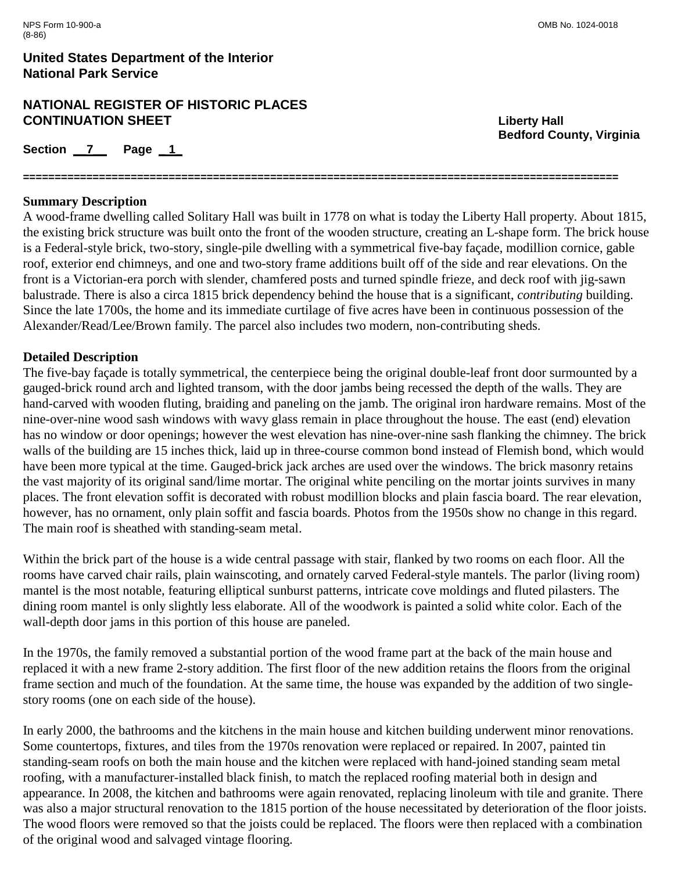## **NATIONAL REGISTER OF HISTORIC PLACES CONTINUATION SHEET Liberty Hall**

Section 7 Page 1

**Bedford County, Virginia**

## **Summary Description**

A wood-frame dwelling called Solitary Hall was built in 1778 on what is today the Liberty Hall property. About 1815, the existing brick structure was built onto the front of the wooden structure, creating an L-shape form. The brick house is a Federal-style brick, two-story, single-pile dwelling with a symmetrical five-bay façade, modillion cornice, gable roof, exterior end chimneys, and one and two-story frame additions built off of the side and rear elevations. On the front is a Victorian-era porch with slender, chamfered posts and turned spindle frieze, and deck roof with jig-sawn balustrade. There is also a circa 1815 brick dependency behind the house that is a significant, *contributing* building. Since the late 1700s, the home and its immediate curtilage of five acres have been in continuous possession of the Alexander/Read/Lee/Brown family. The parcel also includes two modern, non-contributing sheds.

**==============================================================================================**

## **Detailed Description**

The five-bay façade is totally symmetrical, the centerpiece being the original double-leaf front door surmounted by a gauged-brick round arch and lighted transom, with the door jambs being recessed the depth of the walls. They are hand-carved with wooden fluting, braiding and paneling on the jamb. The original iron hardware remains. Most of the nine-over-nine wood sash windows with wavy glass remain in place throughout the house. The east (end) elevation has no window or door openings; however the west elevation has nine-over-nine sash flanking the chimney. The brick walls of the building are 15 inches thick, laid up in three-course common bond instead of Flemish bond, which would have been more typical at the time. Gauged-brick jack arches are used over the windows. The brick masonry retains the vast majority of its original sand/lime mortar. The original white penciling on the mortar joints survives in many places. The front elevation soffit is decorated with robust modillion blocks and plain fascia board. The rear elevation, however, has no ornament, only plain soffit and fascia boards. Photos from the 1950s show no change in this regard. The main roof is sheathed with standing-seam metal.

Within the brick part of the house is a wide central passage with stair, flanked by two rooms on each floor. All the rooms have carved chair rails, plain wainscoting, and ornately carved Federal-style mantels. The parlor (living room) mantel is the most notable, featuring elliptical sunburst patterns, intricate cove moldings and fluted pilasters. The dining room mantel is only slightly less elaborate. All of the woodwork is painted a solid white color. Each of the wall-depth door jams in this portion of this house are paneled.

In the 1970s, the family removed a substantial portion of the wood frame part at the back of the main house and replaced it with a new frame 2-story addition. The first floor of the new addition retains the floors from the original frame section and much of the foundation. At the same time, the house was expanded by the addition of two singlestory rooms (one on each side of the house).

In early 2000, the bathrooms and the kitchens in the main house and kitchen building underwent minor renovations. Some countertops, fixtures, and tiles from the 1970s renovation were replaced or repaired. In 2007, painted tin standing-seam roofs on both the main house and the kitchen were replaced with hand-joined standing seam metal roofing, with a manufacturer-installed black finish, to match the replaced roofing material both in design and appearance. In 2008, the kitchen and bathrooms were again renovated, replacing linoleum with tile and granite. There was also a major structural renovation to the 1815 portion of the house necessitated by deterioration of the floor joists. The wood floors were removed so that the joists could be replaced. The floors were then replaced with a combination of the original wood and salvaged vintage flooring.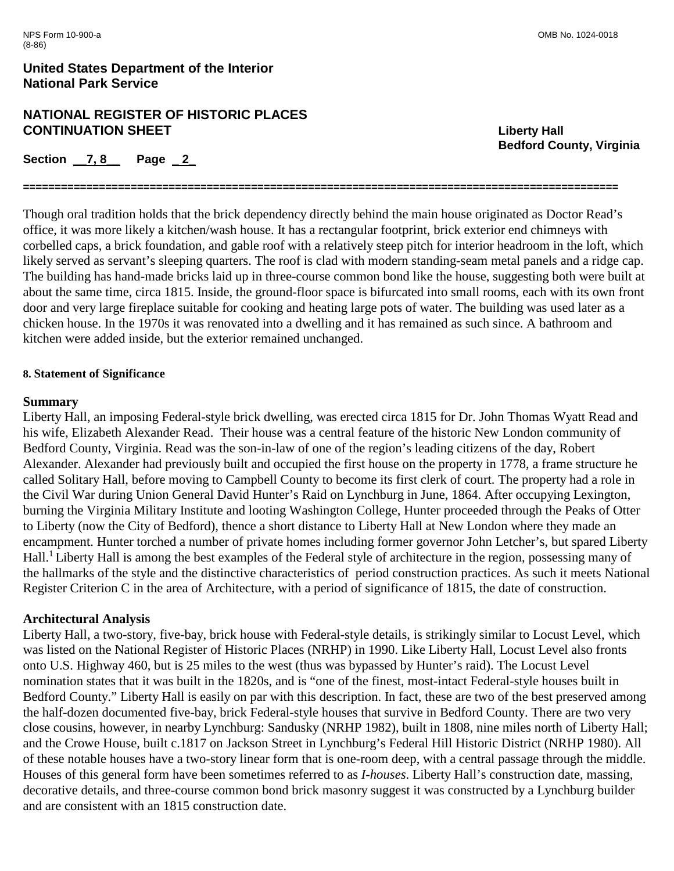## **NATIONAL REGISTER OF HISTORIC PLACES CONTINUATION SHEET Liberty Hall**

**Section \_\_7, 8\_\_ Page \_ 2\_** 

**Bedford County, Virginia**

Though oral tradition holds that the brick dependency directly behind the main house originated as Doctor Read's office, it was more likely a kitchen/wash house. It has a rectangular footprint, brick exterior end chimneys with corbelled caps, a brick foundation, and gable roof with a relatively steep pitch for interior headroom in the loft, which likely served as servant's sleeping quarters. The roof is clad with modern standing-seam metal panels and a ridge cap. The building has hand-made bricks laid up in three-course common bond like the house, suggesting both were built at about the same time, circa 1815. Inside, the ground-floor space is bifurcated into small rooms, each with its own front door and very large fireplace suitable for cooking and heating large pots of water. The building was used later as a chicken house. In the 1970s it was renovated into a dwelling and it has remained as such since. A bathroom and kitchen were added inside, but the exterior remained unchanged.

**==============================================================================================**

### **8. Statement of Significance**

#### **Summary**

Liberty Hall, an imposing Federal-style brick dwelling, was erected circa 1815 for Dr. John Thomas Wyatt Read and his wife, Elizabeth Alexander Read. Their house was a central feature of the historic New London community of Bedford County, Virginia. Read was the son-in-law of one of the region's leading citizens of the day, Robert Alexander. Alexander had previously built and occupied the first house on the property in 1778, a frame structure he called Solitary Hall, before moving to Campbell County to become its first clerk of court. The property had a role in the Civil War during Union General David Hunter's Raid on Lynchburg in June, 1864. After occupying Lexington, burning the Virginia Military Institute and looting Washington College, Hunter proceeded through the Peaks of Otter to Liberty (now the City of Bedford), thence a short distance to Liberty Hall at New London where they made an encampment. Hunter torched a number of private homes including former governor John Letcher's, but spared Liberty Hall.<sup>1</sup> Liberty Hall is among the best examples of the Federal style of architecture in the region, possessing many of the hallmarks of the style and the distinctive characteristics of period construction practices. As such it meets National Register Criterion C in the area of Architecture, with a period of significance of 1815, the date of construction.

### **Architectural Analysis**

Liberty Hall, a two-story, five-bay, brick house with Federal-style details, is strikingly similar to Locust Level, which was listed on the National Register of Historic Places (NRHP) in 1990. Like Liberty Hall, Locust Level also fronts onto U.S. Highway 460, but is 25 miles to the west (thus was bypassed by Hunter's raid). The Locust Level nomination states that it was built in the 1820s, and is "one of the finest, most-intact Federal-style houses built in Bedford County." Liberty Hall is easily on par with this description. In fact, these are two of the best preserved among the half-dozen documented five-bay, brick Federal-style houses that survive in Bedford County. There are two very close cousins, however, in nearby Lynchburg: Sandusky (NRHP 1982), built in 1808, nine miles north of Liberty Hall; and the Crowe House, built c.1817 on Jackson Street in Lynchburg's Federal Hill Historic District (NRHP 1980). All of these notable houses have a two-story linear form that is one-room deep, with a central passage through the middle. Houses of this general form have been sometimes referred to as *I-houses*. Liberty Hall's construction date, massing, decorative details, and three-course common bond brick masonry suggest it was constructed by a Lynchburg builder and are consistent with an 1815 construction date.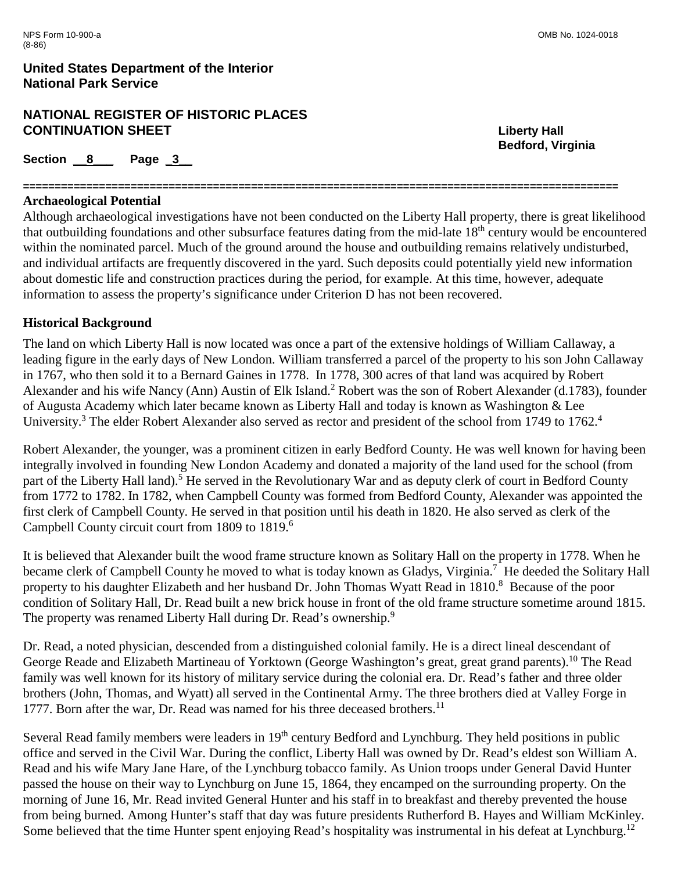# **NATIONAL REGISTER OF HISTORIC PLACES CONTINUATION SHEET Liberty Hall**

Section 8 Page 3

#### **============================================================================================== Archaeological Potential**

Although archaeological investigations have not been conducted on the Liberty Hall property, there is great likelihood that outbuilding foundations and other subsurface features dating from the mid-late 18th century would be encountered within the nominated parcel. Much of the ground around the house and outbuilding remains relatively undisturbed, and individual artifacts are frequently discovered in the yard. Such deposits could potentially yield new information about domestic life and construction practices during the period, for example. At this time, however, adequate information to assess the property's significance under Criterion D has not been recovered.

## **Historical Background**

The land on which Liberty Hall is now located was once a part of the extensive holdings of William Callaway, a leading figure in the early days of New London. William transferred a parcel of the property to his son John Callaway in 1767, who then sold it to a Bernard Gaines in 1778. In 1778, 300 acres of that land was acquired by Robert Alexander and his wife Nancy (Ann) Austin of Elk Island.<sup>2</sup> Robert was the son of Robert Alexander (d.1783), founder of Augusta Academy which later became known as Liberty Hall and today is known as Washington & Lee University.<sup>3</sup> The elder Robert Alexander also served as rector and president of the school from 1749 to 1762.<sup>4</sup>

Robert Alexander, the younger, was a prominent citizen in early Bedford County. He was well known for having been integrally involved in founding New London Academy and donated a majority of the land used for the school (from part of the Liberty Hall land).<sup>5</sup> He served in the Revolutionary War and as deputy clerk of court in Bedford County from 1772 to 1782. In 1782, when Campbell County was formed from Bedford County, Alexander was appointed the first clerk of Campbell County. He served in that position until his death in 1820. He also served as clerk of the Campbell County circuit court from 1809 to 1819.6

It is believed that Alexander built the wood frame structure known as Solitary Hall on the property in 1778. When he became clerk of Campbell County he moved to what is today known as Gladys, Virginia.<sup>7</sup> He deeded the Solitary Hall property to his daughter Elizabeth and her husband Dr. John Thomas Wyatt Read in 1810.<sup>8</sup> Because of the poor condition of Solitary Hall, Dr. Read built a new brick house in front of the old frame structure sometime around 1815. The property was renamed Liberty Hall during Dr. Read's ownership.<sup>9</sup>

Dr. Read, a noted physician, descended from a distinguished colonial family. He is a direct lineal descendant of George Reade and Elizabeth Martineau of Yorktown (George Washington's great, great grand parents).<sup>10</sup> The Read family was well known for its history of military service during the colonial era. Dr. Read's father and three older brothers (John, Thomas, and Wyatt) all served in the Continental Army. The three brothers died at Valley Forge in 1777. Born after the war, Dr. Read was named for his three deceased brothers.<sup>11</sup>

Several Read family members were leaders in 19<sup>th</sup> century Bedford and Lynchburg. They held positions in public office and served in the Civil War. During the conflict, Liberty Hall was owned by Dr. Read's eldest son William A. Read and his wife Mary Jane Hare, of the Lynchburg tobacco family. As Union troops under General David Hunter passed the house on their way to Lynchburg on June 15, 1864, they encamped on the surrounding property. On the morning of June 16, Mr. Read invited General Hunter and his staff in to breakfast and thereby prevented the house from being burned. Among Hunter's staff that day was future presidents Rutherford B. Hayes and William McKinley. Some believed that the time Hunter spent enjoying Read's hospitality was instrumental in his defeat at Lynchburg.<sup>12</sup>

**Bedford, Virginia**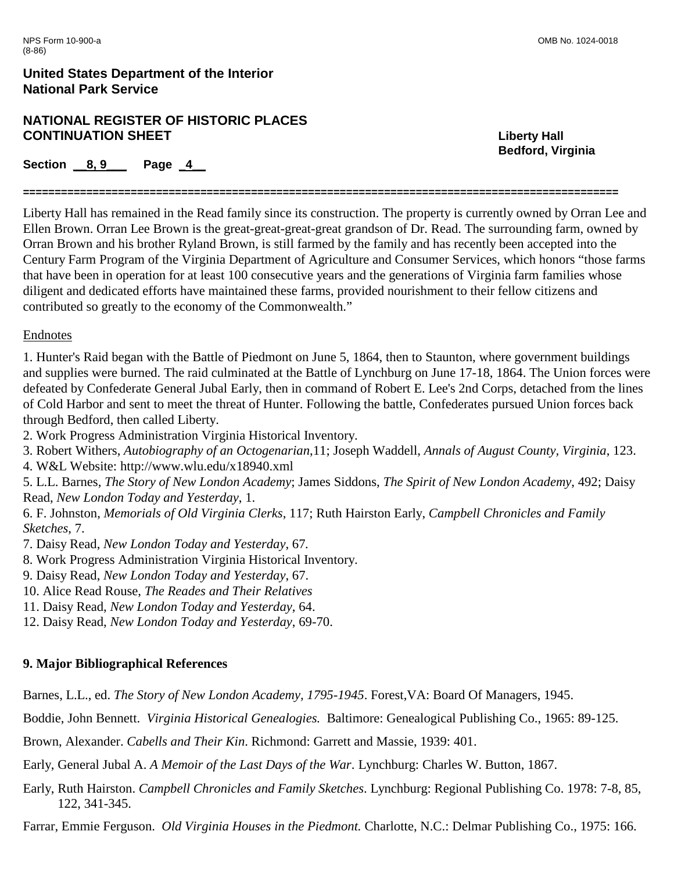## **NATIONAL REGISTER OF HISTORIC PLACES CONTINUATION SHEET Liberty Hall**

**Bedford, Virginia**

**Section 8, 9 Page 4** 

**==============================================================================================**

Liberty Hall has remained in the Read family since its construction. The property is currently owned by Orran Lee and Ellen Brown. Orran Lee Brown is the great-great-great-great grandson of Dr. Read. The surrounding farm, owned by Orran Brown and his brother Ryland Brown, is still farmed by the family and has recently been accepted into the Century Farm Program of the Virginia Department of Agriculture and Consumer Services, which honors "those farms that have been in operation for at least 100 consecutive years and the generations of Virginia farm families whose diligent and dedicated efforts have maintained these farms, provided nourishment to their fellow citizens and contributed so greatly to the economy of the Commonwealth."

## Endnotes

1. Hunter's Raid began with the Battle of Piedmont on June 5, 1864, then to Staunton, where government buildings and supplies were burned. The raid culminated at the Battle of Lynchburg on June 17-18, 1864. The Union forces were defeated by Confederate General Jubal Early, then in command of Robert E. Lee's 2nd Corps, detached from the lines of Cold Harbor and sent to meet the threat of Hunter. Following the battle, Confederates pursued Union forces back through Bedford, then called Liberty.

2. Work Progress Administration Virginia Historical Inventory.

3. Robert Withers, *Autobiography of an Octogenarian*,11; Joseph Waddell, *Annals of August County, Virginia*, 123.

4. W&L Website: http://www.wlu.edu/x18940.xml

5. L.L. Barnes, *The Story of New London Academy*; James Siddons, *The Spirit of New London Academy*, 492; Daisy Read, *New London Today and Yesterday*, 1.

6. F. Johnston, *Memorials of Old Virginia Clerks*, 117; Ruth Hairston Early, *Campbell Chronicles and Family Sketches*, 7.

7. Daisy Read, *New London Today and Yesterday*, 67*.*

8. Work Progress Administration Virginia Historical Inventory.

9. Daisy Read, *New London Today and Yesterday*, 67.

10. Alice Read Rouse, *The Reades and Their Relatives*

11. Daisy Read, *New London Today and Yesterday*, 64.

12. Daisy Read, *New London Today and Yesterday*, 69-70.

# **9. Major Bibliographical References**

Barnes, L.L., ed. *The Story of New London Academy, 1795-1945*. Forest,VA: Board Of Managers, 1945.

Boddie, John Bennett. *Virginia Historical Genealogies.* Baltimore: Genealogical Publishing Co., 1965: 89-125.

Brown, Alexander. *Cabells and Their Kin*. Richmond: Garrett and Massie, 1939: 401.

Early, General Jubal A. *A Memoir of the Last Days of the War*. Lynchburg: Charles W. Button, 1867.

Early, Ruth Hairston. *Campbell Chronicles and Family Sketches*. Lynchburg: Regional Publishing Co. 1978: 7-8, 85, 122, 341-345.

Farrar, Emmie Ferguson. *Old Virginia Houses in the Piedmont.* Charlotte, N.C.: Delmar Publishing Co., 1975: 166.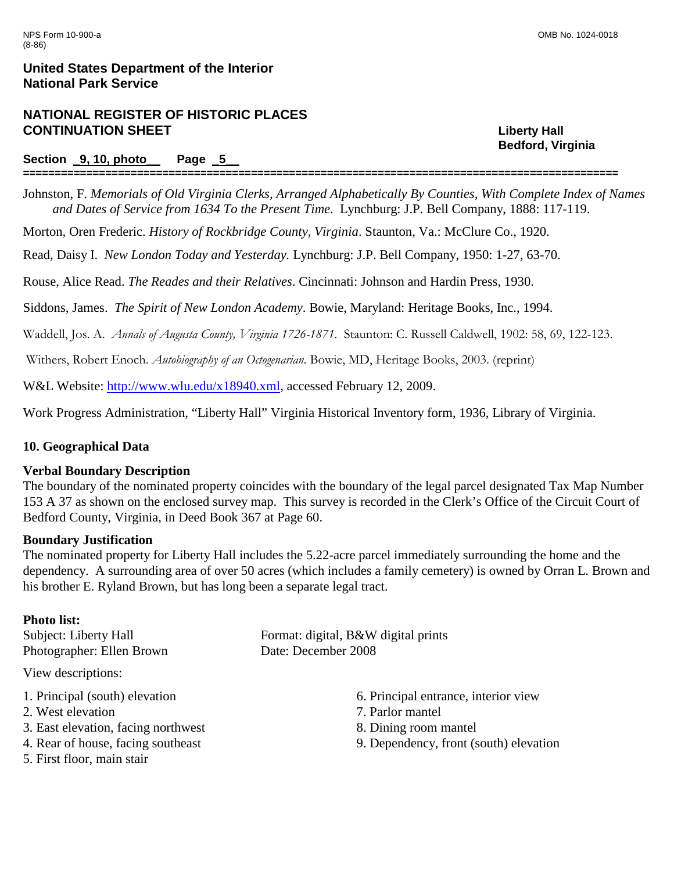# **NATIONAL REGISTER OF HISTORIC PLACES CONTINUATION SHEET Liberty Hall**

### **Section \_9, 10, photo\_\_ Page \_5\_\_**

Johnston, F. *Memorials of Old Virginia Clerks, Arranged Alphabetically By Counties, With Complete Index of Names and Dates of Service from 1634 To the Present Time*. Lynchburg: J.P. Bell Company, 1888: 117-119.

**==============================================================================================**

Morton, Oren Frederic. *History of Rockbridge County, Virginia*. Staunton, Va.: McClure Co., 1920.

Read, Daisy I. *New London Today and Yesterday.* Lynchburg: J.P. Bell Company, 1950: 1-27, 63-70.

Rouse, Alice Read. *The Reades and their Relatives*. Cincinnati: Johnson and Hardin Press, 1930.

Siddons, James. *The Spirit of New London Academy*. Bowie, Maryland: Heritage Books, Inc., 1994.

Waddell, Jos. A. *Annals of Augusta County, Virginia 1726-1871*. Staunton: C. Russell Caldwell, 1902: 58, 69, 122-123.

Withers, Robert Enoch. *Autobiography of an Octogenarian.* Bowie, MD, Heritage Books, 2003. (reprint)

W&L Website: [http://www.wlu.edu/x18940.xml,](http://www.wlu.edu/x18940.xml) accessed February 12, 2009.

Work Progress Administration, "Liberty Hall" Virginia Historical Inventory form, 1936, Library of Virginia.

## **10. Geographical Data**

## **Verbal Boundary Description**

The boundary of the nominated property coincides with the boundary of the legal parcel designated Tax Map Number 153 A 37 as shown on the enclosed survey map. This survey is recorded in the Clerk's Office of the Circuit Court of Bedford County, Virginia, in Deed Book 367 at Page 60.

## **Boundary Justification**

The nominated property for Liberty Hall includes the 5.22-acre parcel immediately surrounding the home and the dependency. A surrounding area of over 50 acres (which includes a family cemetery) is owned by Orran L. Brown and his brother E. Ryland Brown, but has long been a separate legal tract.

## **Photo list:**

Photographer: Ellen Brown Date: December 2008

View descriptions:

- 1. Principal (south) elevation
- 2. West elevation
- 3. East elevation, facing northwest
- 4. Rear of house, facing southeast
- 5. First floor, main stair

Subject: Liberty Hall Format: digital, B&W digital prints

- 6. Principal entrance, interior view
- 7. Parlor mantel
- 8. Dining room mantel
- 9. Dependency, front (south) elevation

**Bedford, Virginia**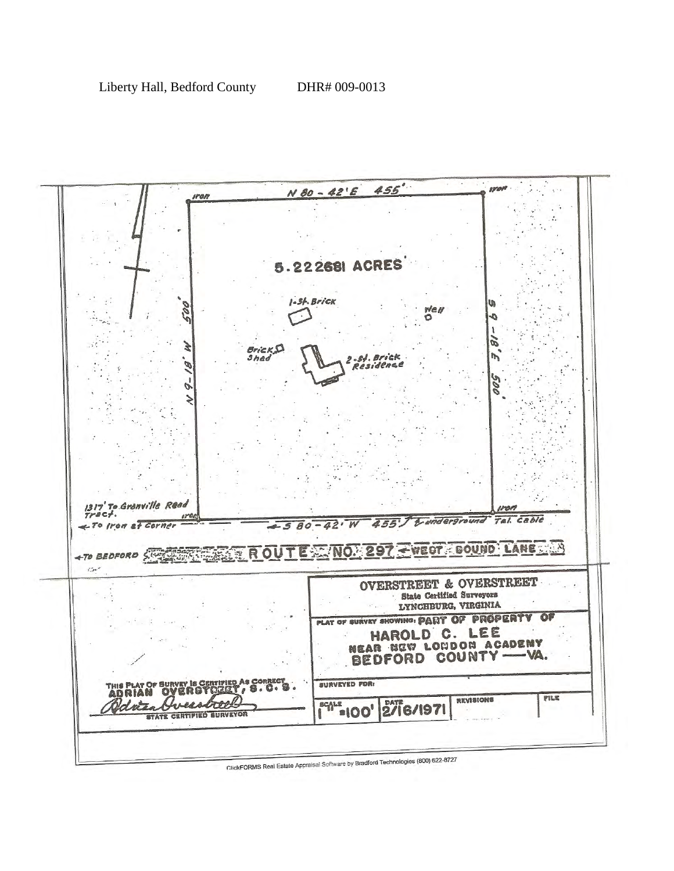

ClickFORMS Real Estate Appraisal Software by Bradford Technologies (800) 622-8727